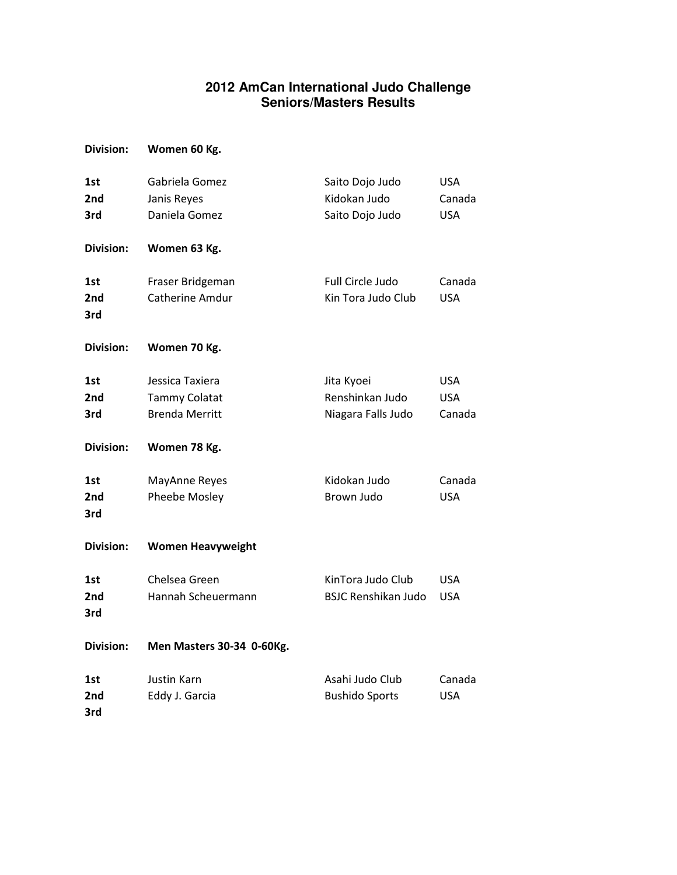## **2012 AmCan International Judo Challenge Seniors/Masters Results**

| Division: | Women 60 Kg. |  |
|-----------|--------------|--|
|           |              |  |

| 1st<br>2nd<br>3rd | Gabriela Gomez<br>Janis Reyes<br>Daniela Gomez                   | Saito Dojo Judo<br>Kidokan Judo<br>Saito Dojo Judo  | <b>USA</b><br>Canada<br><b>USA</b> |
|-------------------|------------------------------------------------------------------|-----------------------------------------------------|------------------------------------|
| <b>Division:</b>  | Women 63 Kg.                                                     |                                                     |                                    |
| 1st<br>2nd<br>3rd | Fraser Bridgeman<br>Catherine Amdur                              | Full Circle Judo<br>Kin Tora Judo Club              | Canada<br><b>USA</b>               |
| <b>Division:</b>  | Women 70 Kg.                                                     |                                                     |                                    |
| 1st<br>2nd<br>3rd | Jessica Taxiera<br><b>Tammy Colatat</b><br><b>Brenda Merritt</b> | Jita Kyoei<br>Renshinkan Judo<br>Niagara Falls Judo | <b>USA</b><br><b>USA</b><br>Canada |
| <b>Division:</b>  | Women 78 Kg.                                                     |                                                     |                                    |
| 1st<br>2nd<br>3rd | MayAnne Reyes<br>Pheebe Mosley                                   | Kidokan Judo<br>Brown Judo                          | Canada<br><b>USA</b>               |
| <b>Division:</b>  | <b>Women Heavyweight</b>                                         |                                                     |                                    |
| 1st<br>2nd<br>3rd | Chelsea Green<br>Hannah Scheuermann                              | KinTora Judo Club<br><b>BSJC Renshikan Judo</b>     | <b>USA</b><br><b>USA</b>           |
| <b>Division:</b>  | Men Masters 30-34 0-60Kg.                                        |                                                     |                                    |
| 1st<br>2nd<br>3rd | Justin Karn<br>Eddy J. Garcia                                    | Asahi Judo Club<br><b>Bushido Sports</b>            | Canada<br><b>USA</b>               |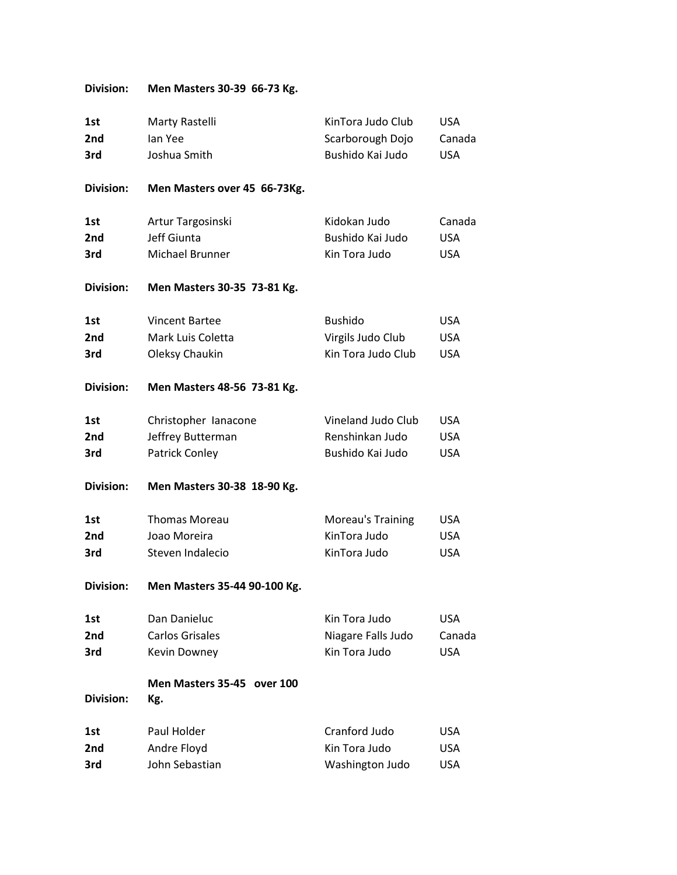## Division: Men Masters 30-39 66-73 Kg.

| 1st              | Marty Rastelli                    | KinTora Judo Club  | <b>USA</b> |
|------------------|-----------------------------------|--------------------|------------|
| 2nd              | lan Yee                           | Scarborough Dojo   | Canada     |
| 3rd              | Joshua Smith                      | Bushido Kai Judo   | <b>USA</b> |
| <b>Division:</b> | Men Masters over 45 66-73Kg.      |                    |            |
| 1st              | Artur Targosinski                 | Kidokan Judo       | Canada     |
| 2nd              | Jeff Giunta                       | Bushido Kai Judo   | <b>USA</b> |
| 3rd              | Michael Brunner                   | Kin Tora Judo      | <b>USA</b> |
| <b>Division:</b> | Men Masters 30-35 73-81 Kg.       |                    |            |
| 1st              | <b>Vincent Bartee</b>             | <b>Bushido</b>     | <b>USA</b> |
| 2nd              | Mark Luis Coletta                 | Virgils Judo Club  | <b>USA</b> |
| 3rd              | Oleksy Chaukin                    | Kin Tora Judo Club | <b>USA</b> |
| <b>Division:</b> | Men Masters 48-56 73-81 Kg.       |                    |            |
| 1st              | Christopher Ianacone              | Vineland Judo Club | <b>USA</b> |
| 2nd              | Jeffrey Butterman                 | Renshinkan Judo    | <b>USA</b> |
| 3rd              | Patrick Conley                    | Bushido Kai Judo   | <b>USA</b> |
| <b>Division:</b> | Men Masters 30-38 18-90 Kg.       |                    |            |
| 1st              | <b>Thomas Moreau</b>              | Moreau's Training  | USA        |
| 2nd              | Joao Moreira                      | KinTora Judo       | <b>USA</b> |
| 3rd              | Steven Indalecio                  | KinTora Judo       | <b>USA</b> |
| <b>Division:</b> | Men Masters 35-44 90-100 Kg.      |                    |            |
| 1st              | Dan Danieluc                      | Kin Tora Judo      | <b>USA</b> |
| 2nd              | <b>Carlos Grisales</b>            | Niagare Falls Judo | Canada     |
| 3rd              | Kevin Downey                      | Kin Tora Judo      | <b>USA</b> |
| <b>Division:</b> | Men Masters 35-45 over 100<br>Kg. |                    |            |
| 1st              | Paul Holder                       | Cranford Judo      | USA        |
| 2nd              | Andre Floyd                       | Kin Tora Judo      | <b>USA</b> |
| 3rd              | John Sebastian                    | Washington Judo    | <b>USA</b> |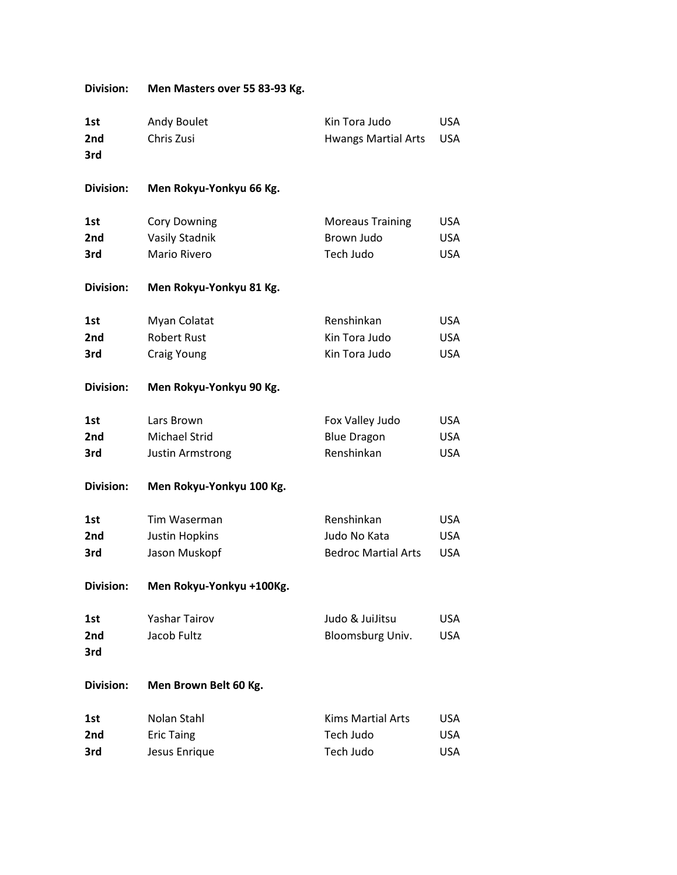| <b>Division:</b> | Men Masters over 55 83-93 Kg. |                            |            |
|------------------|-------------------------------|----------------------------|------------|
| 1st              | Andy Boulet                   | Kin Tora Judo              | <b>USA</b> |
| 2nd              | Chris Zusi                    | <b>Hwangs Martial Arts</b> | <b>USA</b> |
| 3rd              |                               |                            |            |
| <b>Division:</b> | Men Rokyu-Yonkyu 66 Kg.       |                            |            |
| 1st              | <b>Cory Downing</b>           | <b>Moreaus Training</b>    | <b>USA</b> |
| 2nd              | <b>Vasily Stadnik</b>         | Brown Judo                 | <b>USA</b> |
| 3rd              | Mario Rivero                  | Tech Judo                  | <b>USA</b> |
| <b>Division:</b> | Men Rokyu-Yonkyu 81 Kg.       |                            |            |
| 1st              | Myan Colatat                  | Renshinkan                 | <b>USA</b> |
| 2nd              | <b>Robert Rust</b>            | Kin Tora Judo              | <b>USA</b> |
| 3rd              | <b>Craig Young</b>            | Kin Tora Judo              | <b>USA</b> |
| <b>Division:</b> | Men Rokyu-Yonkyu 90 Kg.       |                            |            |
| 1st              | Lars Brown                    | Fox Valley Judo            | <b>USA</b> |
| 2nd              | <b>Michael Strid</b>          | <b>Blue Dragon</b>         | <b>USA</b> |
| 3rd              | <b>Justin Armstrong</b>       | Renshinkan                 | <b>USA</b> |
| <b>Division:</b> | Men Rokyu-Yonkyu 100 Kg.      |                            |            |
| 1st              | Tim Waserman                  | Renshinkan                 | <b>USA</b> |
| 2nd              | <b>Justin Hopkins</b>         | Judo No Kata               | <b>USA</b> |
| 3rd              | Jason Muskopf                 | <b>Bedroc Martial Arts</b> | <b>USA</b> |
| <b>Division:</b> | Men Rokyu-Yonkyu +100Kg.      |                            |            |
| 1st              | <b>Yashar Tairov</b>          | Judo & JuiJitsu            | <b>USA</b> |
| 2nd              | Jacob Fultz                   | Bloomsburg Univ.           | <b>USA</b> |
| 3rd              |                               |                            |            |
| <b>Division:</b> | Men Brown Belt 60 Kg.         |                            |            |
| 1st              | Nolan Stahl                   | <b>Kims Martial Arts</b>   | <b>USA</b> |
| 2nd              | <b>Eric Taing</b>             | Tech Judo                  | <b>USA</b> |
| 3rd              | Jesus Enrique                 | Tech Judo                  | <b>USA</b> |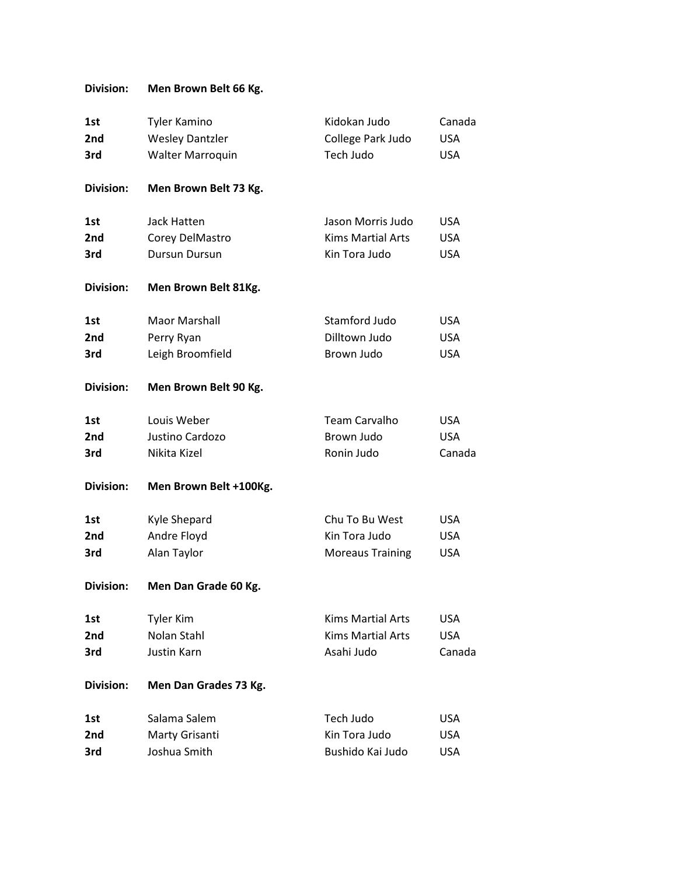## Division: Men Brown Belt 66 Kg.

| 1st<br>2nd<br>3rd | <b>Tyler Kamino</b><br><b>Wesley Dantzler</b><br>Walter Marroquin | Kidokan Judo<br>College Park Judo<br>Tech Judo | Canada<br><b>USA</b><br><b>USA</b> |
|-------------------|-------------------------------------------------------------------|------------------------------------------------|------------------------------------|
| <b>Division:</b>  | Men Brown Belt 73 Kg.                                             |                                                |                                    |
| 1st               | Jack Hatten                                                       | Jason Morris Judo                              | <b>USA</b>                         |
| 2nd               | Corey DelMastro                                                   | <b>Kims Martial Arts</b>                       | <b>USA</b>                         |
| 3rd               | <b>Dursun Dursun</b>                                              | Kin Tora Judo                                  | <b>USA</b>                         |
| <b>Division:</b>  | Men Brown Belt 81Kg.                                              |                                                |                                    |
| 1st               | Maor Marshall                                                     | Stamford Judo                                  | <b>USA</b>                         |
| 2nd               | Perry Ryan                                                        | Dilltown Judo                                  | <b>USA</b>                         |
| 3rd               | Leigh Broomfield                                                  | Brown Judo                                     | <b>USA</b>                         |
| <b>Division:</b>  | Men Brown Belt 90 Kg.                                             |                                                |                                    |
| 1st               | Louis Weber                                                       | <b>Team Carvalho</b>                           | <b>USA</b>                         |
| 2nd               | Justino Cardozo                                                   | Brown Judo                                     | <b>USA</b>                         |
| 3rd               | Nikita Kizel                                                      | Ronin Judo                                     | Canada                             |
| <b>Division:</b>  | Men Brown Belt +100Kg.                                            |                                                |                                    |
| 1st               | Kyle Shepard                                                      | Chu To Bu West                                 | <b>USA</b>                         |
| 2nd               | Andre Floyd                                                       | Kin Tora Judo                                  | <b>USA</b>                         |
| 3rd               | Alan Taylor                                                       | <b>Moreaus Training</b>                        | <b>USA</b>                         |
| <b>Division:</b>  | Men Dan Grade 60 Kg.                                              |                                                |                                    |
| 1st               | <b>Tyler Kim</b>                                                  | <b>Kims Martial Arts</b>                       | <b>USA</b>                         |
| 2nd               | Nolan Stahl                                                       | <b>Kims Martial Arts</b>                       | <b>USA</b>                         |
| 3rd               | Justin Karn                                                       | Asahi Judo                                     | Canada                             |
| <b>Division:</b>  | Men Dan Grades 73 Kg.                                             |                                                |                                    |
| 1st               | Salama Salem                                                      | Tech Judo                                      | USA                                |
| 2nd               | Marty Grisanti                                                    | Kin Tora Judo                                  | <b>USA</b>                         |
| 3rd               | Joshua Smith                                                      | Bushido Kai Judo                               | <b>USA</b>                         |